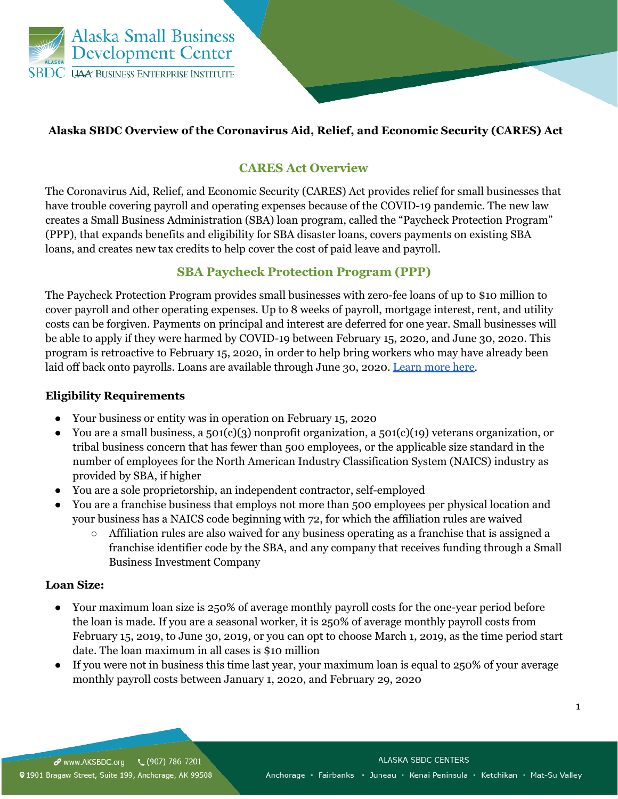

## **Alaska SBDC Overview of the Coronavirus Aid, Relief, and Economic Security (CARES) Act**

## **CARES Act Overview**

The Coronavirus Aid, Relief, and Economic Security (CARES) Act provides relief for small businesses that have trouble covering payroll and operating expenses because of the COVID-19 pandemic. The new law creates a Small Business Administration (SBA) loan program, called the "Paycheck Protection Program" (PPP), that expands benefits and eligibility for SBA disaster loans, covers payments on existing SBA loans, and creates new tax credits to help cover the cost of paid leave and payroll.

## **SBA Paycheck Protection Program (PPP)**

The Paycheck Protection Program provides small businesses with zero-fee loans of up to \$10 million to cover payroll and other operating expenses. Up to 8 weeks of payroll, mortgage interest, rent, and utility costs can be forgiven. Payments on principal and interest are deferred for one year. Small businesses will be able to apply if they were harmed by COVID-19 between February 15, 2020, and June 30, 2020. This program is retroactive to February 15, 2020, in order to help bring workers who may have already been laid off back onto payrolls. Loans are available through June 30, 2020. Learn more here.

## **Eligibility Requirements**

- Your business or entity was in operation on February 15, 2020
- You are a small business, a 501(c)(3) nonprofit organization, a 501(c)(19) veterans organization, or tribal business concern that has fewer than 500 employees, or the applicable size standard in the number of employees for the North American Industry Classification System (NAICS) industry as provided by SBA, if higher
- You are a sole proprietorship, an independent contractor, self-employed
- You are a franchise business that employs not more than 500 employees per physical location and your business has a NAICS code beginning with 72, for which the affiliation rules are waived
	- $\circ$  Affiliation rules are also waived for any business operating as a franchise that is assigned a franchise identifier code by the SBA, and any company that receives funding through a Small Business Investment Company

## **Loan Size:**

- Your maximum loan size is 250% of average monthly payroll costs for the one-year period before the loan is made. If you are a seasonal worker, it is 250% of average monthly payroll costs from February 15, 2019, to June 30, 2019, or you can opt to choose March 1, 2019, as the time period start date. The loan maximum in all cases is \$10 million
- If you were not in business this time last year, your maximum loan is equal to 250% of your average monthly payroll costs between January 1, 2020, and February 29, 2020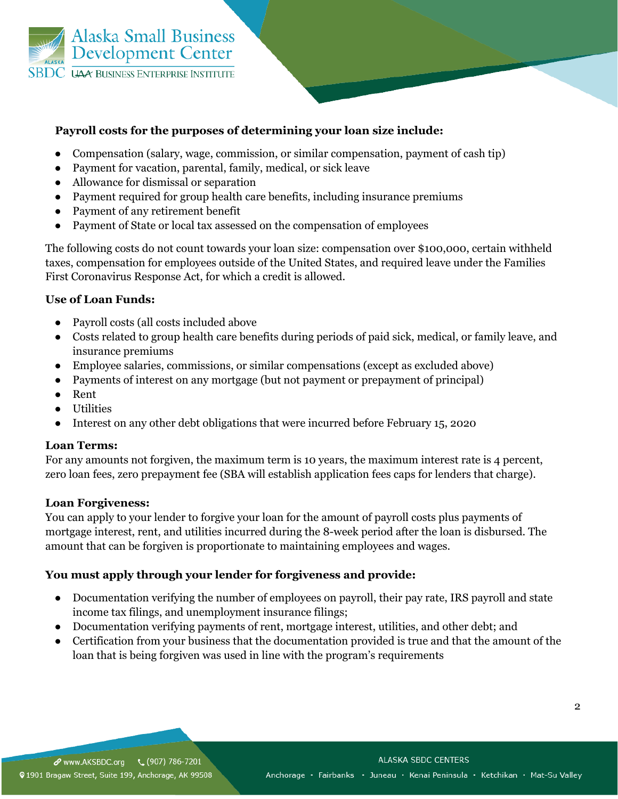

### **Payroll costs for the purposes of determining your loan size include:**

- Compensation (salary, wage, commission, or similar compensation, payment of cash tip)
- Payment for vacation, parental, family, medical, or sick leave
- Allowance for dismissal or separation
- Payment required for group health care benefits, including insurance premiums
- Payment of any retirement benefit
- Payment of State or local tax assessed on the compensation of employees

The following costs do not count towards your loan size: compensation over \$100,000, certain withheld taxes, compensation for employees outside of the United States, and required leave under the Families First Coronavirus Response Act, for which a credit is allowed.

### **Use of Loan Funds:**

- Payroll costs (all costs included above
- Costs related to group health care benefits during periods of paid sick, medical, or family leave, and insurance premiums
- Employee salaries, commissions, or similar compensations (except as excluded above)
- Payments of interest on any mortgage (but not payment or prepayment of principal)
- Rent
- Utilities
- Interest on any other debt obligations that were incurred before February 15, 2020

### **Loan Terms:**

For any amounts not forgiven, the maximum term is 10 years, the maximum interest rate is 4 percent, zero loan fees, zero prepayment fee (SBA will establish application fees caps for lenders that charge).

### **Loan Forgiveness:**

You can apply to your lender to forgive your loan for the amount of payroll costs plus payments of mortgage interest, rent, and utilities incurred during the 8-week period after the loan is disbursed. The amount that can be forgiven is proportionate to maintaining employees and wages.

## **You must apply through your lender for forgiveness and provide:**

- Documentation verifying the number of employees on payroll, their pay rate, IRS payroll and state income tax filings, and unemployment insurance filings;
- Documentation verifying payments of rent, mortgage interest, utilities, and other debt; and
- Certification from your business that the documentation provided is true and that the amount of the loan that is being forgiven was used in line with the program's requirements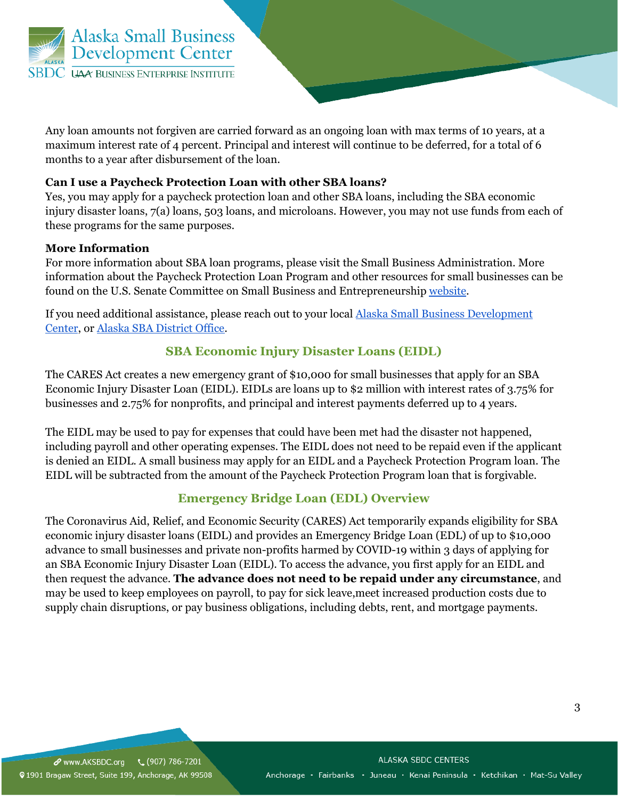

Any loan amounts not forgiven are carried forward as an ongoing loan with max terms of 10 years, at a maximum interest rate of 4 percent. Principal and interest will continue to be deferred, for a total of 6 months to a year after disbursement of the loan.

### **Can I use a Paycheck Protection Loan with other SBA loans?**

Yes, you may apply for a paycheck protection loan and other SBA loans, including the SBA economic injury disaster loans, 7(a) loans, 503 loans, and microloans. However, you may not use funds from each of these programs for the same purposes.

### **More Information**

For more information about SBA loan programs, please visit the Small Business Administration. More information about the Paycheck Protection Loan Program and other resources for small businesses can be found on the U.S. Senate Committee on Small Business and Entrepreneurship website.

If you need additional assistance, please reach out to your local Alaska Small Business Development Center, or Alaska SBA District Office.

## **SBA Economic Injury Disaster Loans (EIDL)**

The CARES Act creates a new emergency grant of \$10,000 for small businesses that apply for an SBA Economic Injury Disaster Loan (EIDL). EIDLs are loans up to \$2 million with interest rates of 3.75% for businesses and 2.75% for nonprofits, and principal and interest payments deferred up to 4 years.

The EIDL may be used to pay for expenses that could have been met had the disaster not happened, including payroll and other operating expenses. The EIDL does not need to be repaid even if the applicant is denied an EIDL. A small business may apply for an EIDL and a Paycheck Protection Program loan. The EIDL will be subtracted from the amount of the Paycheck Protection Program loan that is forgivable.

## **Emergency Bridge Loan (EDL) Overview**

The Coronavirus Aid, Relief, and Economic Security (CARES) Act temporarily expands eligibility for SBA economic injury disaster loans (EIDL) and provides an Emergency Bridge Loan (EDL) of up to \$10,000 advance to small businesses and private non-profits harmed by COVID-19 within 3 days of applying for an SBA Economic Injury Disaster Loan (EIDL). To access the advance, you first apply for an EIDL and then request the advance. **The advance does not need to be repaid under any circumstance**, and may be used to keep employees on payroll, to pay for sick leave,meet increased production costs due to supply chain disruptions, or pay business obligations, including debts, rent, and mortgage payments.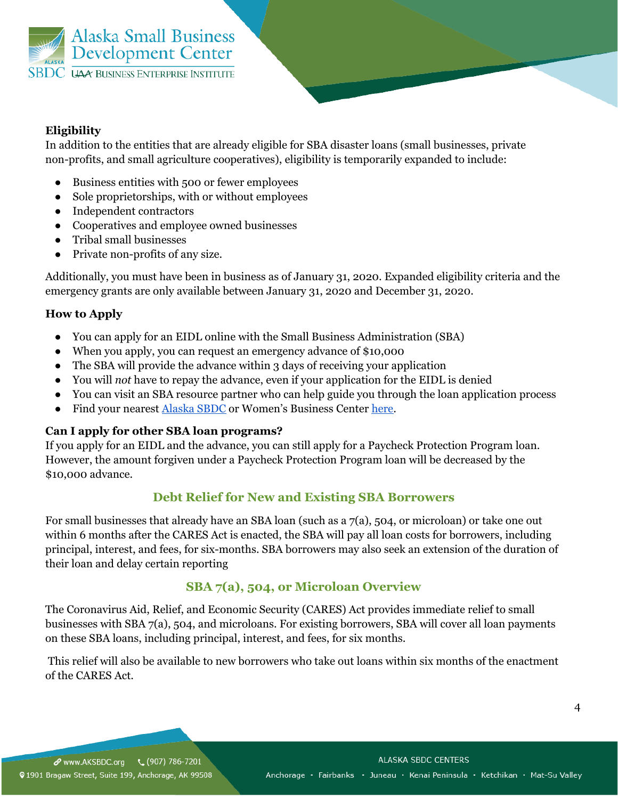

## **Eligibility**

In addition to the entities that are already eligible for SBA disaster loans (small businesses, private non-profits, and small agriculture cooperatives), eligibility is temporarily expanded to include:

- Business entities with 500 or fewer employees
- Sole proprietorships, with or without employees
- Independent contractors
- Cooperatives and employee owned businesses
- Tribal small businesses
- Private non-profits of any size.

Additionally, you must have been in business as of January 31, 2020. Expanded eligibility criteria and the emergency grants are only available between January 31, 2020 and December 31, 2020.

## **How to Apply**

- You can apply for an EIDL online with the Small Business Administration (SBA)
- When you apply, you can request an emergency advance of \$10,000
- The SBA will provide the advance within 3 days of receiving your application
- You will *not* have to repay the advance, even if your application for the EIDL is denied
- You can visit an SBA resource partner who can help guide you through the loan application process
- Find your nearest Alaska SBDC or Women's Business Center here.

## **Can I apply for other SBA loan programs?**

If you apply for an EIDL and the advance, you can still apply for a Paycheck Protection Program loan. However, the amount forgiven under a Paycheck Protection Program loan will be decreased by the \$10,000 advance.

# **Debt Relief for New and Existing SBA Borrowers**

For small businesses that already have an SBA loan (such as a 7(a), 504, or microloan) or take one out within 6 months after the CARES Act is enacted, the SBA will pay all loan costs for borrowers, including principal, interest, and fees, for six-months. SBA borrowers may also seek an extension of the duration of their loan and delay certain reporting

# **SBA 7(a), 504, or Microloan Overview**

The Coronavirus Aid, Relief, and Economic Security (CARES) Act provides immediate relief to small businesses with SBA 7(a), 504, and microloans. For existing borrowers, SBA will cover all loan payments on these SBA loans, including principal, interest, and fees, for six months.

This relief will also be available to new borrowers who take out loans within six months of the enactment of the CARES Act.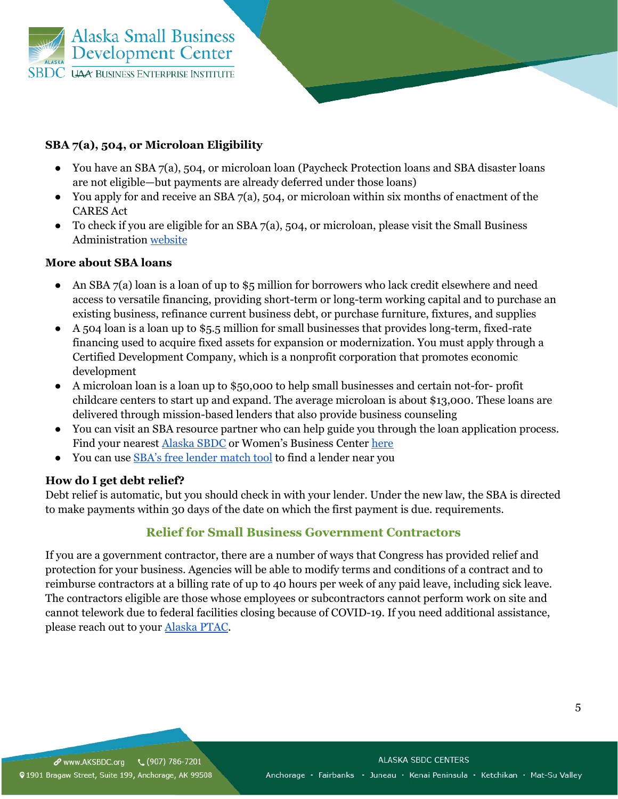

## **SBA 7(a), 504, or Microloan Eligibility**

- You have an SBA 7(a), 504, or microloan loan (Paycheck Protection loans and SBA disaster loans are not eligible—but payments are already deferred under those loans)
- You apply for and receive an SBA  $7(a)$ , 504, or microloan within six months of enactment of the CARES Act
- To check if you are eligible for an SBA  $7(a)$ , 504, or microloan, please visit the Small Business Administration website

### **More about SBA loans**

- An SBA  $7(a)$  loan is a loan of up to \$5 million for borrowers who lack credit elsewhere and need access to versatile financing, providing short-term or long-term working capital and to purchase an existing business, refinance current business debt, or purchase furniture, fixtures, and supplies
- A 504 loan is a loan up to \$5.5 million for small businesses that provides long-term, fixed-rate financing used to acquire fixed assets for expansion or modernization. You must apply through a Certified Development Company, which is a nonprofit corporation that promotes economic development
- A microloan loan is a loan up to \$50,000 to help small businesses and certain not-for- profit childcare centers to start up and expand. The average microloan is about \$13,000. These loans are delivered through mission-based lenders that also provide business counseling
- You can visit an SBA resource partner who can help guide you through the loan application process. Find your nearest **Alaska SBDC** or Women's Business Center here
- You can use SBA's free lender match tool to find a lender near you

## **How do I get debt relief?**

Debt relief is automatic, but you should check in with your lender. Under the new law, the SBA is directed to make payments within 30 days of the date on which the first payment is due. requirements.

## **Relief for Small Business Government Contractors**

If you are a government contractor, there are a number of ways that Congress has provided relief and protection for your business. Agencies will be able to modify terms and conditions of a contract and to reimburse contractors at a billing rate of up to 40 hours per week of any paid leave, including sick leave. The contractors eligible are those whose employees or subcontractors cannot perform work on site and cannot telework due to federal facilities closing because of COVID-19. If you need additional assistance, please reach out to your Alaska PTAC.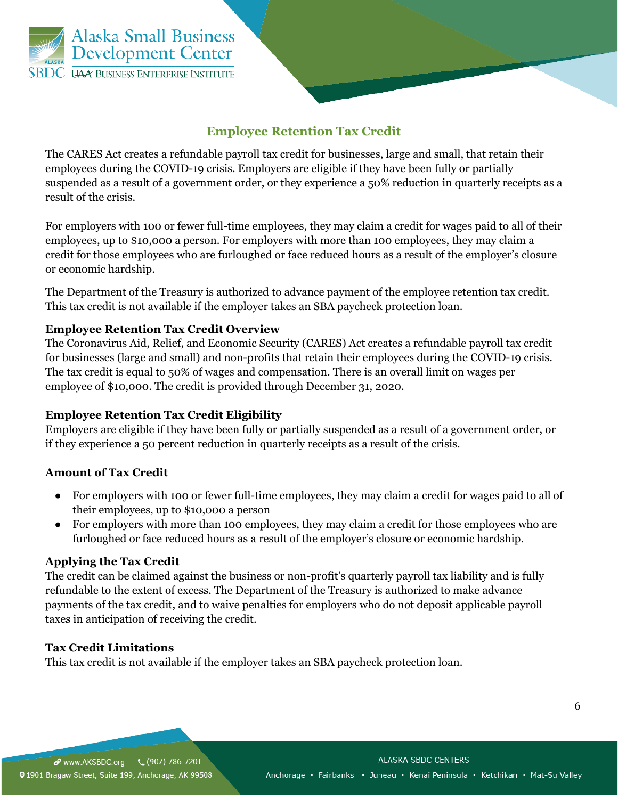

## **Employee Retention Tax Credit**

The CARES Act creates a refundable payroll tax credit for businesses, large and small, that retain their employees during the COVID-19 crisis. Employers are eligible if they have been fully or partially suspended as a result of a government order, or they experience a 50% reduction in quarterly receipts as a result of the crisis.

For employers with 100 or fewer full-time employees, they may claim a credit for wages paid to all of their employees, up to \$10,000 a person. For employers with more than 100 employees, they may claim a credit for those employees who are furloughed or face reduced hours as a result of the employer's closure or economic hardship.

The Department of the Treasury is authorized to advance payment of the employee retention tax credit. This tax credit is not available if the employer takes an SBA paycheck protection loan.

## **Employee Retention Tax Credit Overview**

The Coronavirus Aid, Relief, and Economic Security (CARES) Act creates a refundable payroll tax credit for businesses (large and small) and non-profits that retain their employees during the COVID-19 crisis. The tax credit is equal to 50% of wages and compensation. There is an overall limit on wages per employee of \$10,000. The credit is provided through December 31, 2020.

## **Employee Retention Tax Credit Eligibility**

Employers are eligible if they have been fully or partially suspended as a result of a government order, or if they experience a 50 percent reduction in quarterly receipts as a result of the crisis.

## **Amount of Tax Credit**

- For employers with 100 or fewer full-time employees, they may claim a credit for wages paid to all of their employees, up to \$10,000 a person
- For employers with more than 100 employees, they may claim a credit for those employees who are furloughed or face reduced hours as a result of the employer's closure or economic hardship.

### **Applying the Tax Credit**

The credit can be claimed against the business or non-profit's quarterly payroll tax liability and is fully refundable to the extent of excess. The Department of the Treasury is authorized to make advance payments of the tax credit, and to waive penalties for employers who do not deposit applicable payroll taxes in anticipation of receiving the credit.

## **Tax Credit Limitations**

This tax credit is not available if the employer takes an SBA paycheck protection loan.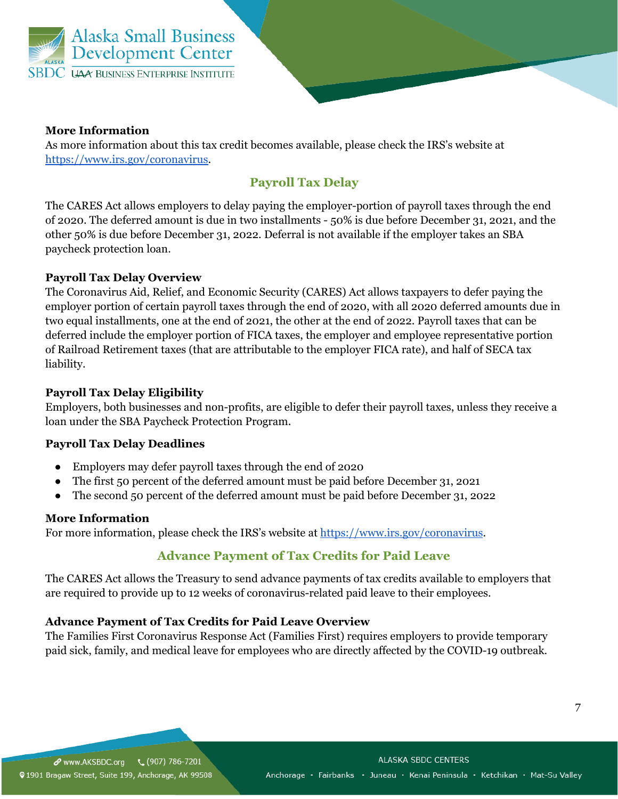

### **More Information**

As more information about this tax credit becomes available, please check the IRS's website at https://www.irs.gov/coronavirus.

# **Payroll Tax Delay**

The CARES Act allows employers to delay paying the employer-portion of payroll taxes through the end of 2020. The deferred amount is due in two installments - 50% is due before December 31, 2021, and the other 50% is due before December 31, 2022. Deferral is not available if the employer takes an SBA paycheck protection loan.

## **Payroll Tax Delay Overview**

The Coronavirus Aid, Relief, and Economic Security (CARES) Act allows taxpayers to defer paying the employer portion of certain payroll taxes through the end of 2020, with all 2020 deferred amounts due in two equal installments, one at the end of 2021, the other at the end of 2022. Payroll taxes that can be deferred include the employer portion of FICA taxes, the employer and employee representative portion of Railroad Retirement taxes (that are attributable to the employer FICA rate), and half of SECA tax liability.

## **Payroll Tax Delay Eligibility**

Employers, both businesses and non-profits, are eligible to defer their payroll taxes, unless they receive a loan under the SBA Paycheck Protection Program.

## **Payroll Tax Delay Deadlines**

- Employers may defer payroll taxes through the end of 2020
- The first 50 percent of the deferred amount must be paid before December 31, 2021
- The second 50 percent of the deferred amount must be paid before December 31, 2022

## **More Information**

For more information, please check the IRS's website at https://www.irs.gov/coronavirus.

# **Advance Payment of Tax Credits for Paid Leave**

The CARES Act allows the Treasury to send advance payments of tax credits available to employers that are required to provide up to 12 weeks of coronavirus-related paid leave to their employees.

## **Advance Payment of Tax Credits for Paid Leave Overview**

The Families First Coronavirus Response Act (Families First) requires employers to provide temporary paid sick, family, and medical leave for employees who are directly affected by the COVID-19 outbreak.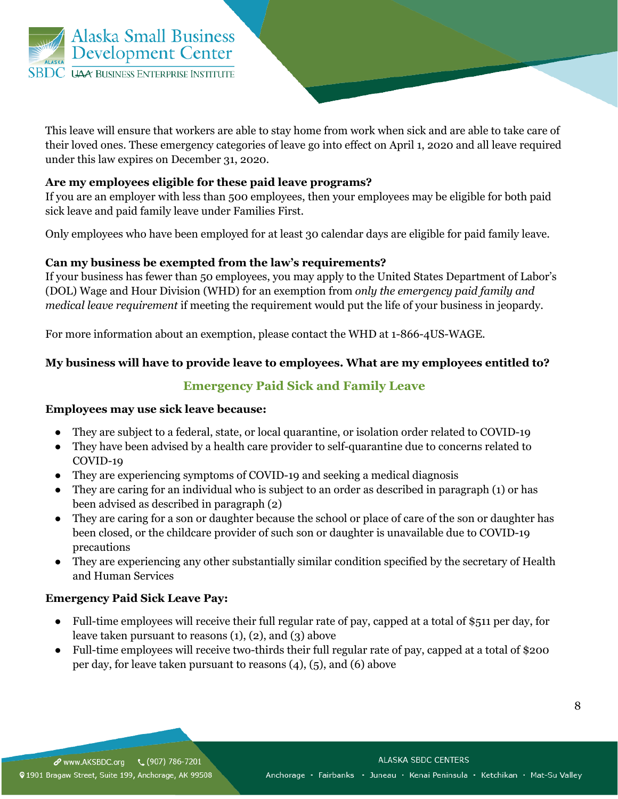

This leave will ensure that workers are able to stay home from work when sick and are able to take care of their loved ones. These emergency categories of leave go into effect on April 1, 2020 and all leave required under this law expires on December 31, 2020.

## **Are my employees eligible for these paid leave programs?**

If you are an employer with less than 500 employees, then your employees may be eligible for both paid sick leave and paid family leave under Families First.

Only employees who have been employed for at least 30 calendar days are eligible for paid family leave.

### **Can my business be exempted from the law's requirements?**

If your business has fewer than 50 employees, you may apply to the United States Department of Labor's (DOL) Wage and Hour Division (WHD) for an exemption from *only the emergency paid family and medical leave requirement* if meeting the requirement would put the life of your business in jeopardy.

For more information about an exemption, please contact the WHD at 1-866-4US-WAGE.

## **My business will have to provide leave to employees. What are my employees entitled to?**

## **Emergency Paid Sick and Family Leave**

### **Employees may use sick leave because:**

- They are subject to a federal, state, or local quarantine, or isolation order related to COVID-19
- They have been advised by a health care provider to self-quarantine due to concerns related to COVID-19
- They are experiencing symptoms of COVID-19 and seeking a medical diagnosis
- They are caring for an individual who is subject to an order as described in paragraph (1) or has been advised as described in paragraph (2)
- They are caring for a son or daughter because the school or place of care of the son or daughter has been closed, or the childcare provider of such son or daughter is unavailable due to COVID-19 precautions
- They are experiencing any other substantially similar condition specified by the secretary of Health and Human Services

## **Emergency Paid Sick Leave Pay:**

- Full-time employees will receive their full regular rate of pay, capped at a total of \$511 per day, for leave taken pursuant to reasons (1), (2), and (3) above
- Full-time employees will receive two-thirds their full regular rate of pay, capped at a total of \$200 per day, for leave taken pursuant to reasons (4), (5), and (6) above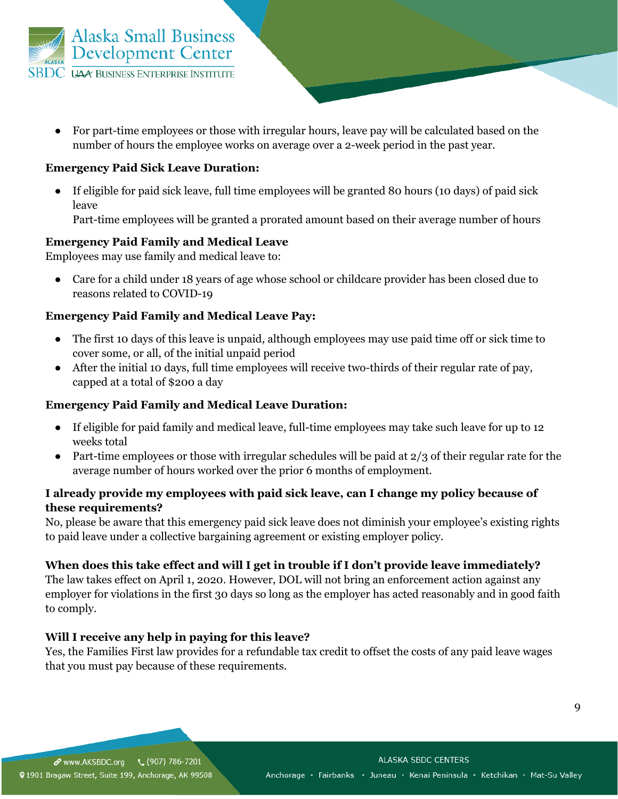

● For part-time employees or those with irregular hours, leave pay will be calculated based on the number of hours the employee works on average over a 2-week period in the past year.

#### **Emergency Paid Sick Leave Duration:**

● If eligible for paid sick leave, full time employees will be granted 80 hours (10 days) of paid sick leave

Part-time employees will be granted a prorated amount based on their average number of hours

#### **Emergency Paid Family and Medical Leave**

Employees may use family and medical leave to:

● Care for a child under 18 years of age whose school or childcare provider has been closed due to reasons related to COVID-19

#### **Emergency Paid Family and Medical Leave Pay:**

- The first 10 days of this leave is unpaid, although employees may use paid time off or sick time to cover some, or all, of the initial unpaid period
- After the initial 10 days, full time employees will receive two-thirds of their regular rate of pay, capped at a total of \$200 a day

#### **Emergency Paid Family and Medical Leave Duration:**

- If eligible for paid family and medical leave, full-time employees may take such leave for up to 12 weeks total
- Part-time employees or those with irregular schedules will be paid at  $2/3$  of their regular rate for the average number of hours worked over the prior 6 months of employment.

### **I already provide my employees with paid sick leave, can I change my policy because of these requirements?**

No, please be aware that this emergency paid sick leave does not diminish your employee's existing rights to paid leave under a collective bargaining agreement or existing employer policy.

#### **When does this take effect and will I get in trouble if I don't provide leave immediately?**

The law takes effect on April 1, 2020. However, DOL will not bring an enforcement action against any employer for violations in the first 30 days so long as the employer has acted reasonably and in good faith to comply.

#### **Will I receive any help in paying for this leave?**

Yes, the Families First law provides for a refundable tax credit to offset the costs of any paid leave wages that you must pay because of these requirements.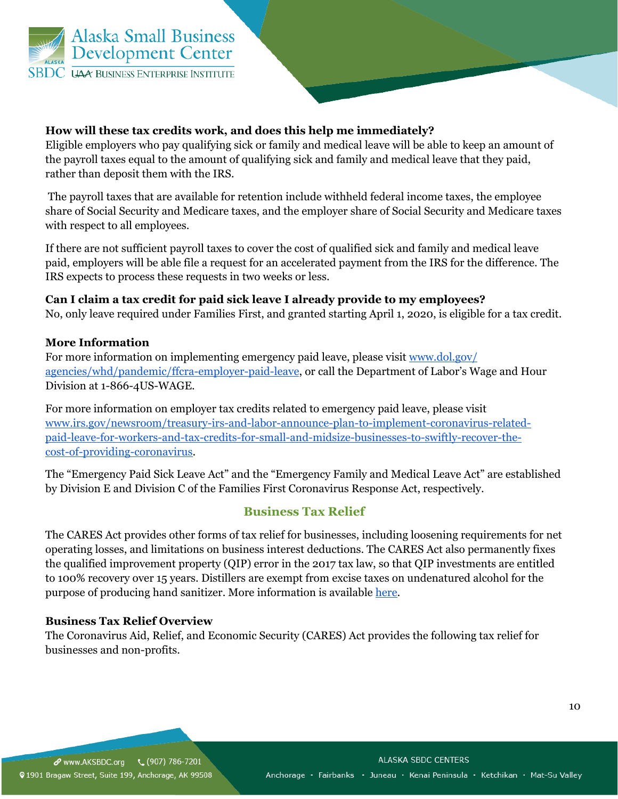

## **How will these tax credits work, and does this help me immediately?**

Eligible employers who pay qualifying sick or family and medical leave will be able to keep an amount of the payroll taxes equal to the amount of qualifying sick and family and medical leave that they paid, rather than deposit them with the IRS.

The payroll taxes that are available for retention include withheld federal income taxes, the employee share of Social Security and Medicare taxes, and the employer share of Social Security and Medicare taxes with respect to all employees.

If there are not sufficient payroll taxes to cover the cost of qualified sick and family and medical leave paid, employers will be able file a request for an accelerated payment from the IRS for the difference. The IRS expects to process these requests in two weeks or less.

**Can I claim a tax credit for paid sick leave I already provide to my employees?** No, only leave required under Families First, and granted starting April 1, 2020, is eligible for a tax credit.

### **More Information**

For more information on implementing emergency paid leave, please visit www.dol.gov/ agencies/whd/pandemic/ffcra-employer-paid-leave, or call the Department of Labor's Wage and Hour Division at 1-866-4US-WAGE.

For more information on employer tax credits related to emergency paid leave, please visit www.irs.gov/newsroom/treasury-irs-and-labor-announce-plan-to-implement-coronavirus-relatedpaid-leave-for-workers-and-tax-credits-for-small-and-midsize-businesses-to-swiftly-recover-thecost-of-providing-coronavirus.

The "Emergency Paid Sick Leave Act" and the "Emergency Family and Medical Leave Act" are established by Division E and Division C of the Families First Coronavirus Response Act, respectively.

## **Business Tax Relief**

The CARES Act provides other forms of tax relief for businesses, including loosening requirements for net operating losses, and limitations on business interest deductions. The CARES Act also permanently fixes the qualified improvement property (QIP) error in the 2017 tax law, so that QIP investments are entitled to 100% recovery over 15 years. Distillers are exempt from excise taxes on undenatured alcohol for the purpose of producing hand sanitizer. More information is available here.

### **Business Tax Relief Overview**

The Coronavirus Aid, Relief, and Economic Security (CARES) Act provides the following tax relief for businesses and non-profits.

10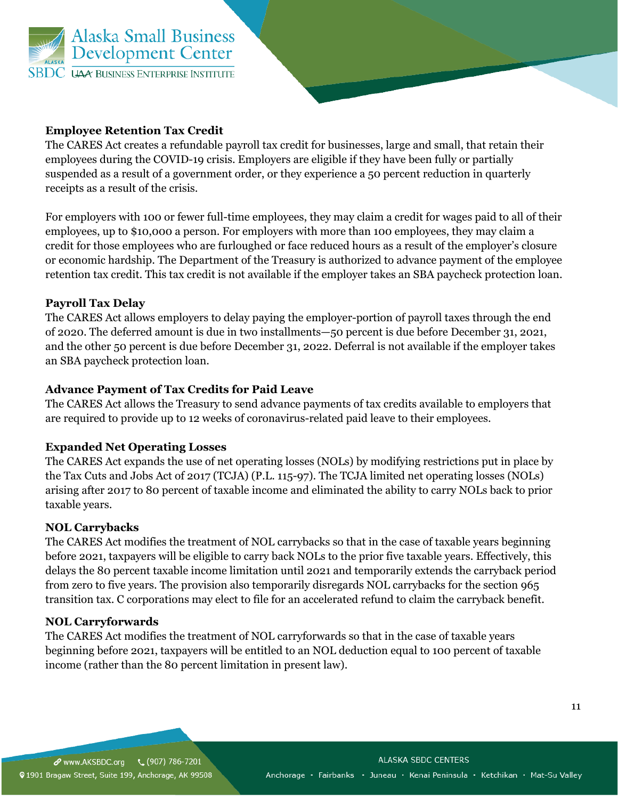

### **Employee Retention Tax Credit**

The CARES Act creates a refundable payroll tax credit for businesses, large and small, that retain their employees during the COVID-19 crisis. Employers are eligible if they have been fully or partially suspended as a result of a government order, or they experience a 50 percent reduction in quarterly receipts as a result of the crisis.

For employers with 100 or fewer full-time employees, they may claim a credit for wages paid to all of their employees, up to \$10,000 a person. For employers with more than 100 employees, they may claim a credit for those employees who are furloughed or face reduced hours as a result of the employer's closure or economic hardship. The Department of the Treasury is authorized to advance payment of the employee retention tax credit. This tax credit is not available if the employer takes an SBA paycheck protection loan.

### **Payroll Tax Delay**

The CARES Act allows employers to delay paying the employer-portion of payroll taxes through the end of 2020. The deferred amount is due in two installments—50 percent is due before December 31, 2021, and the other 50 percent is due before December 31, 2022. Deferral is not available if the employer takes an SBA paycheck protection loan.

### **Advance Payment of Tax Credits for Paid Leave**

The CARES Act allows the Treasury to send advance payments of tax credits available to employers that are required to provide up to 12 weeks of coronavirus-related paid leave to their employees.

### **Expanded Net Operating Losses**

The CARES Act expands the use of net operating losses (NOLs) by modifying restrictions put in place by the Tax Cuts and Jobs Act of 2017 (TCJA) (P.L. 115-97). The TCJA limited net operating losses (NOLs) arising after 2017 to 80 percent of taxable income and eliminated the ability to carry NOLs back to prior taxable years.

### **NOL Carrybacks**

The CARES Act modifies the treatment of NOL carrybacks so that in the case of taxable years beginning before 2021, taxpayers will be eligible to carry back NOLs to the prior five taxable years. Effectively, this delays the 80 percent taxable income limitation until 2021 and temporarily extends the carryback period from zero to five years. The provision also temporarily disregards NOL carrybacks for the section 965 transition tax. C corporations may elect to file for an accelerated refund to claim the carryback benefit.

### **NOL Carryforwards**

The CARES Act modifies the treatment of NOL carryforwards so that in the case of taxable years beginning before 2021, taxpayers will be entitled to an NOL deduction equal to 100 percent of taxable income (rather than the 80 percent limitation in present law).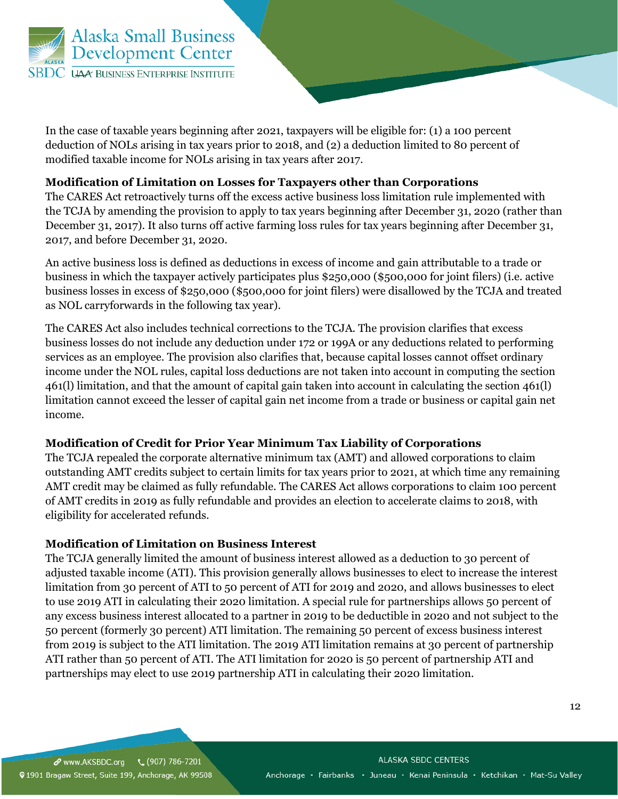

In the case of taxable years beginning after 2021, taxpayers will be eligible for: (1) a 100 percent deduction of NOLs arising in tax years prior to 2018, and (2) a deduction limited to 80 percent of modified taxable income for NOLs arising in tax years after 2017.

### **Modification of Limitation on Losses for Taxpayers other than Corporations**

The CARES Act retroactively turns off the excess active business loss limitation rule implemented with the TCJA by amending the provision to apply to tax years beginning after December 31, 2020 (rather than December 31, 2017). It also turns off active farming loss rules for tax years beginning after December 31, 2017, and before December 31, 2020.

An active business loss is defined as deductions in excess of income and gain attributable to a trade or business in which the taxpayer actively participates plus \$250,000 (\$500,000 for joint filers) (i.e. active business losses in excess of \$250,000 (\$500,000 for joint filers) were disallowed by the TCJA and treated as NOL carryforwards in the following tax year).

The CARES Act also includes technical corrections to the TCJA. The provision clarifies that excess business losses do not include any deduction under 172 or 199A or any deductions related to performing services as an employee. The provision also clarifies that, because capital losses cannot offset ordinary income under the NOL rules, capital loss deductions are not taken into account in computing the section 461(l) limitation, and that the amount of capital gain taken into account in calculating the section 461(l) limitation cannot exceed the lesser of capital gain net income from a trade or business or capital gain net income.

### **Modification of Credit for Prior Year Minimum Tax Liability of Corporations**

The TCJA repealed the corporate alternative minimum tax (AMT) and allowed corporations to claim outstanding AMT credits subject to certain limits for tax years prior to 2021, at which time any remaining AMT credit may be claimed as fully refundable. The CARES Act allows corporations to claim 100 percent of AMT credits in 2019 as fully refundable and provides an election to accelerate claims to 2018, with eligibility for accelerated refunds.

### **Modification of Limitation on Business Interest**

The TCJA generally limited the amount of business interest allowed as a deduction to 30 percent of adjusted taxable income (ATI). This provision generally allows businesses to elect to increase the interest limitation from 30 percent of ATI to 50 percent of ATI for 2019 and 2020, and allows businesses to elect to use 2019 ATI in calculating their 2020 limitation. A special rule for partnerships allows 50 percent of any excess business interest allocated to a partner in 2019 to be deductible in 2020 and not subject to the 50 percent (formerly 30 percent) ATI limitation. The remaining 50 percent of excess business interest from 2019 is subject to the ATI limitation. The 2019 ATI limitation remains at 30 percent of partnership ATI rather than 50 percent of ATI. The ATI limitation for 2020 is 50 percent of partnership ATI and partnerships may elect to use 2019 partnership ATI in calculating their 2020 limitation.